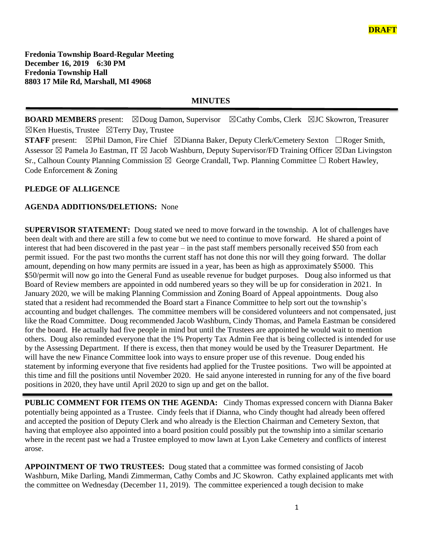**Fredonia Township Board-Regular Meeting December 16, 2019 6:30 PM Fredonia Township Hall 8803 17 Mile Rd, Marshall, MI 49068**

## **MINUTES**

**BOARD MEMBERS** present: ⊠Doug Damon, Supervisor ⊠Cathy Combs, Clerk ⊠JC Skowron, Treasurer  $\boxtimes$ Ken Huestis, Trustee  $\boxtimes$ Terry Day, Trustee

**STAFF** present: ⊠Phil Damon, Fire Chief ⊠Dianna Baker, Deputy Clerk/Cemetery Sexton □Roger Smith, Assessor  $\boxtimes$  Pamela Jo Eastman, IT  $\boxtimes$  Jacob Washburn, Deputy Supervisor/FD Training Officer  $\boxtimes$ Dan Livingston Sr., Calhoun County Planning Commission  $\boxtimes$  George Crandall, Twp. Planning Committee  $\Box$  Robert Hawley, Code Enforcement & Zoning

#### **PLEDGE OF ALLIGENCE**

#### **AGENDA ADDITIONS/DELETIONS:** None

**SUPERVISOR STATEMENT:** Doug stated we need to move forward in the township. A lot of challenges have been dealt with and there are still a few to come but we need to continue to move forward. He shared a point of interest that had been discovered in the past year – in the past staff members personally received \$50 from each permit issued. For the past two months the current staff has not done this nor will they going forward. The dollar amount, depending on how many permits are issued in a year, has been as high as approximately \$5000. This \$50/permit will now go into the General Fund as useable revenue for budget purposes. Doug also informed us that Board of Review members are appointed in odd numbered years so they will be up for consideration in 2021. In January 2020, we will be making Planning Commission and Zoning Board of Appeal appointments. Doug also stated that a resident had recommended the Board start a Finance Committee to help sort out the township's accounting and budget challenges. The committee members will be considered volunteers and not compensated, just like the Road Committee. Doug recommended Jacob Washburn, Cindy Thomas, and Pamela Eastman be considered for the board. He actually had five people in mind but until the Trustees are appointed he would wait to mention others. Doug also reminded everyone that the 1% Property Tax Admin Fee that is being collected is intended for use by the Assessing Department. If there is excess, then that money would be used by the Treasurer Department. He will have the new Finance Committee look into ways to ensure proper use of this revenue. Doug ended his statement by informing everyone that five residents had applied for the Trustee positions. Two will be appointed at this time and fill the positions until November 2020. He said anyone interested in running for any of the five board positions in 2020, they have until April 2020 to sign up and get on the ballot.

**PUBLIC COMMENT FOR ITEMS ON THE AGENDA:** Cindy Thomas expressed concern with Dianna Baker potentially being appointed as a Trustee. Cindy feels that if Dianna, who Cindy thought had already been offered and accepted the position of Deputy Clerk and who already is the Election Chairman and Cemetery Sexton, that having that employee also appointed into a board position could possibly put the township into a similar scenario where in the recent past we had a Trustee employed to mow lawn at Lyon Lake Cemetery and conflicts of interest arose.

**APPOINTMENT OF TWO TRUSTEES:** Doug stated that a committee was formed consisting of Jacob Washburn, Mike Darling, Mandi Zimmerman, Cathy Combs and JC Skowron. Cathy explained applicants met with the committee on Wednesday (December 11, 2019). The committee experienced a tough decision to make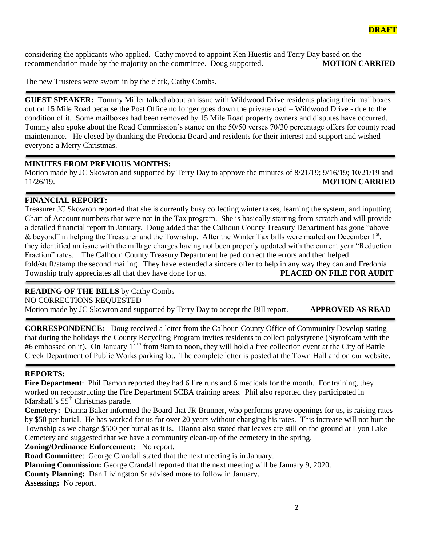considering the applicants who applied. Cathy moved to appoint Ken Huestis and Terry Day based on the recommendation made by the majority on the committee. Doug supported. **MOTION CARRIED**

The new Trustees were sworn in by the clerk, Cathy Combs.

**GUEST SPEAKER:** Tommy Miller talked about an issue with Wildwood Drive residents placing their mailboxes out on 15 Mile Road because the Post Office no longer goes down the private road – Wildwood Drive - due to the condition of it. Some mailboxes had been removed by 15 Mile Road property owners and disputes have occurred. Tommy also spoke about the Road Commission's stance on the 50/50 verses 70/30 percentage offers for county road maintenance. He closed by thanking the Fredonia Board and residents for their interest and support and wished everyone a Merry Christmas.

### **MINUTES FROM PREVIOUS MONTHS:**

Motion made by JC Skowron and supported by Terry Day to approve the minutes of 8/21/19; 9/16/19; 10/21/19 and 11/26/19. **MOTION CARRIED**

### **FINANCIAL REPORT:**

Treasurer JC Skowron reported that she is currently busy collecting winter taxes, learning the system, and inputting Chart of Account numbers that were not in the Tax program. She is basically starting from scratch and will provide a detailed financial report in January. Doug added that the Calhoun County Treasury Department has gone "above & beyond" in helping the Treasurer and the Township. After the Winter Tax bills were mailed on December  $1<sup>st</sup>$ , they identified an issue with the millage charges having not been properly updated with the current year "Reduction Fraction" rates. The Calhoun County Treasury Department helped correct the errors and then helped fold/stuff/stamp the second mailing. They have extended a sincere offer to help in any way they can and Fredonia Township truly appreciates all that they have done for us. **PLACED ON FILE FOR AUDIT**

### **READING OF THE BILLS** by Cathy Combs

NO CORRECTIONS REQUESTED

Motion made by JC Skowron and supported by Terry Day to accept the Bill report. **APPROVED AS READ**

**CORRESPONDENCE:** Doug received a letter from the Calhoun County Office of Community Develop stating that during the holidays the County Recycling Program invites residents to collect polystyrene (Styrofoam with the #6 embossed on it). On January 11<sup>th</sup> from 9am to noon, they will hold a free collection event at the City of Battle Creek Department of Public Works parking lot. The complete letter is posted at the Town Hall and on our website.

# **REPORTS:**

Fire Department: Phil Damon reported they had 6 fire runs and 6 medicals for the month. For training, they worked on reconstructing the Fire Department SCBA training areas. Phil also reported they participated in Marshall's 55<sup>th</sup> Christmas parade.

**Cemetery:** Dianna Baker informed the Board that JR Brunner, who performs grave openings for us, is raising rates by \$50 per burial. He has worked for us for over 20 years without changing his rates. This increase will not hurt the Township as we charge \$500 per burial as it is. Dianna also stated that leaves are still on the ground at Lyon Lake Cemetery and suggested that we have a community clean-up of the cemetery in the spring.

**Zoning/Ordinance Enforcement:** No report.

**Road Committee**: George Crandall stated that the next meeting is in January.

**Planning Commission:** George Crandall reported that the next meeting will be January 9, 2020.

**County Planning:** Dan Livingston Sr advised more to follow in January.

**Assessing:** No report.